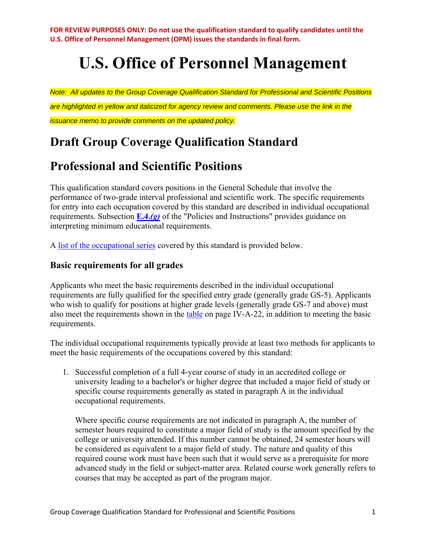# **U.S. Office of Personnel Management**

*Note: All updates to the Group Coverage Qualification Standard for Professional and Scientific Positions are highlighted in yellow and italicized for agency review and comments. Please use the link in the* 

*issuance memo to provide comments on the updated policy.* 

# **Draft Group Coverage Qualification Standard**

# **Professional and Scientific Positions**

This qualification standard covers positions in the General Schedule that involve the performance of two-grade interval professional and scientific work. The specific requirements for entry into each occupation covered by this standard are described in individual occupational requirements. Subsection **[E.4.](https://www.opm.gov/policy-data-oversight/classification-qualifications/general-schedule-qualification-policies/#e4)***(g)* of the "Policies and Instructions" provides guidance on interpreting minimum educational requirements.

A [list of the occupational series](https://www.opm.gov/policy-data-oversight/classification-qualifications/general-schedule-qualification-standards/#GS-PROF-OCCUPATIONS) covered by this standard is provided below.

# **Basic requirements for all grades**

Applicants who meet the basic requirements described in the individual occupational requirements are fully qualified for the specified entry grade (generally grade GS-5). Applicants who wish to qualify for positions at higher grade levels (generally grade GS-7 and above) must also meet the requirements shown in the [table](https://www.opm.gov/policy-data-oversight/classification-qualifications/general-schedule-qualification-standards/#table) on page IV-A-22, in addition to meeting the basic requirements.

The individual occupational requirements typically provide at least two methods for applicants to meet the basic requirements of the occupations covered by this standard:

1. Successful completion of a full 4-year course of study in an accredited college or university leading to a bachelor's or higher degree that included a major field of study or specific course requirements generally as stated in paragraph A in the individual occupational requirements.

Where specific course requirements are not indicated in paragraph A, the number of semester hours required to constitute a major field of study is the amount specified by the college or university attended. If this number cannot be obtained, 24 semester hours will be considered as equivalent to a major field of study. The nature and quality of this required course work must have been such that it would serve as a prerequisite for more advanced study in the field or subject-matter area. Related course work generally refers to courses that may be accepted as part of the program major.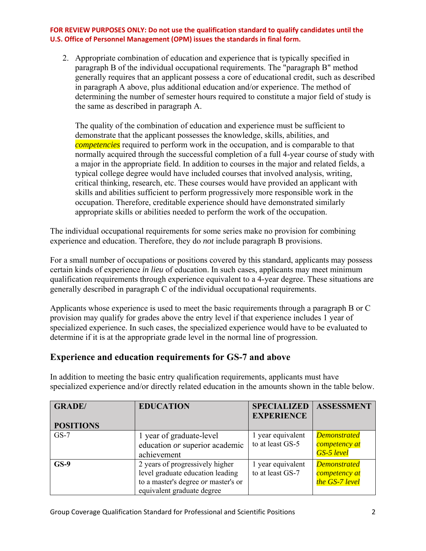2. Appropriate combination of education and experience that is typically specified in paragraph B of the individual occupational requirements. The "paragraph B" method generally requires that an applicant possess a core of educational credit, such as described in paragraph A above, plus additional education and/or experience. The method of determining the number of semester hours required to constitute a major field of study is the same as described in paragraph A.

The quality of the combination of education and experience must be sufficient to demonstrate that the applicant possesses the knowledge, skills, abilities, and *competencies* required to perform work in the occupation, and is comparable to that normally acquired through the successful completion of a full 4-year course of study with a major in the appropriate field. In addition to courses in the major and related fields, a typical college degree would have included courses that involved analysis, writing, critical thinking, research, etc. These courses would have provided an applicant with skills and abilities sufficient to perform progressively more responsible work in the occupation. Therefore, creditable experience should have demonstrated similarly appropriate skills or abilities needed to perform the work of the occupation.

The individual occupational requirements for some series make no provision for combining experience and education. Therefore, they do *not* include paragraph B provisions.

For a small number of occupations or positions covered by this standard, applicants may possess certain kinds of experience *in lieu* of education. In such cases, applicants may meet minimum qualification requirements through experience equivalent to a 4-year degree. These situations are generally described in paragraph C of the individual occupational requirements.

Applicants whose experience is used to meet the basic requirements through a paragraph B or C provision may qualify for grades above the entry level if that experience includes 1 year of specialized experience. In such cases, the specialized experience would have to be evaluated to determine if it is at the appropriate grade level in the normal line of progression.

# **Experience and education requirements for GS-7 and above**

In addition to meeting the basic entry qualification requirements, applicants must have specialized experience and/or directly related education in the amounts shown in the table below.

| <b>GRADE</b> /<br><b>POSITIONS</b> | <b>EDUCATION</b>                                                                                                                         | <b>SPECIALIZED</b><br><b>EXPERIENCE</b> | <b>ASSESSMENT</b>                                         |
|------------------------------------|------------------------------------------------------------------------------------------------------------------------------------------|-----------------------------------------|-----------------------------------------------------------|
| $GS-7$                             | 1 year of graduate-level<br>education or superior academic<br>achievement                                                                | 1 year equivalent<br>to at least GS-5   | <b>Demonstrated</b><br>competency at<br><b>GS-5</b> level |
| $GS-9$                             | 2 years of progressively higher<br>level graduate education leading<br>to a master's degree or master's or<br>equivalent graduate degree | 1 year equivalent<br>to at least GS-7   | <b>Demonstrated</b><br>competency at<br>the GS-7 level    |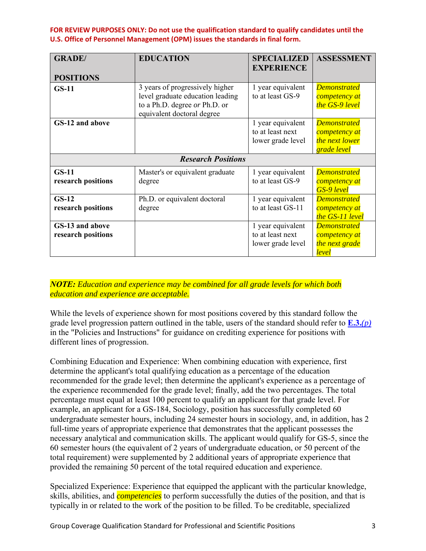| <b>GRADE</b> /<br><b>POSITIONS</b>    | <b>EDUCATION</b>                                                                                                                   | <b>SPECIALIZED</b><br><b>EXPERIENCE</b>                    | <b>ASSESSMENT</b>                                                     |  |
|---------------------------------------|------------------------------------------------------------------------------------------------------------------------------------|------------------------------------------------------------|-----------------------------------------------------------------------|--|
| $GS-11$                               | 3 years of progressively higher<br>level graduate education leading<br>to a Ph.D. degree or Ph.D. or<br>equivalent doctoral degree | 1 year equivalent<br>to at least GS-9                      | <b>Demonstrated</b><br>competency at<br>the GS-9 level                |  |
| GS-12 and above                       |                                                                                                                                    | 1 year equivalent<br>to at least next<br>lower grade level | <b>Demonstrated</b><br>competency at<br>the next lower<br>grade level |  |
| <b>Research Positions</b>             |                                                                                                                                    |                                                            |                                                                       |  |
| $GS-11$<br>research positions         | Master's or equivalent graduate<br>degree                                                                                          | 1 year equivalent<br>to at least GS-9                      | <b>Demonstrated</b><br>competency at<br><b>GS-9</b> level             |  |
| $GS-12$<br>research positions         | Ph.D. or equivalent doctoral<br>degree                                                                                             | 1 year equivalent<br>to at least GS-11                     | <b>Demonstrated</b><br>competency at<br>the GS-11 level               |  |
| GS-13 and above<br>research positions |                                                                                                                                    | 1 year equivalent<br>to at least next<br>lower grade level | <b>Demonstrated</b><br>competency at<br>the next grade<br>level       |  |

#### *NOTE: Education and experience may be combined for all grade levels for which both education and experience are acceptable.*

While the levels of experience shown for most positions covered by this standard follow the grade level progression pattern outlined in the table, users of the standard should refer to **[E.3.](https://www.opm.gov/policy-data-oversight/classification-qualifications/general-schedule-qualification-policies/)***(p)* in the "Policies and Instructions" for guidance on crediting experience for positions with different lines of progression.

Combining Education and Experience: When combining education with experience, first determine the applicant's total qualifying education as a percentage of the education recommended for the grade level; then determine the applicant's experience as a percentage of the experience recommended for the grade level; finally, add the two percentages. The total percentage must equal at least 100 percent to qualify an applicant for that grade level. For example, an applicant for a GS-184, Sociology, position has successfully completed 60 undergraduate semester hours, including 24 semester hours in sociology, and, in addition, has 2 full-time years of appropriate experience that demonstrates that the applicant possesses the necessary analytical and communication skills. The applicant would qualify for GS-5, since the 60 semester hours (the equivalent of 2 years of undergraduate education, or 50 percent of the total requirement) were supplemented by 2 additional years of appropriate experience that provided the remaining 50 percent of the total required education and experience.

Specialized Experience: Experience that equipped the applicant with the particular knowledge, skills, abilities, and *competencies* to perform successfully the duties of the position, and that is typically in or related to the work of the position to be filled. To be creditable, specialized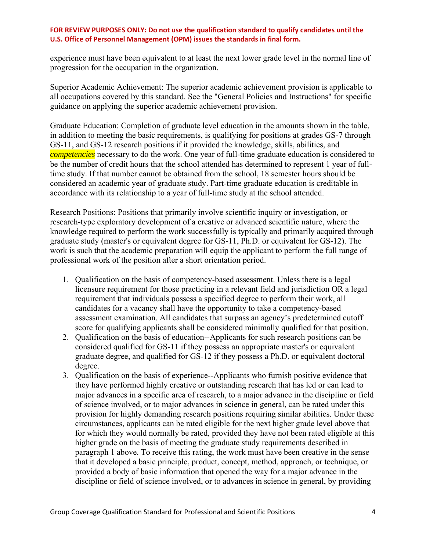experience must have been equivalent to at least the next lower grade level in the normal line of progression for the occupation in the organization.

Superior Academic Achievement: The superior academic achievement provision is applicable to all occupations covered by this standard. See the "General Policies and Instructions" for specific guidance on applying the superior academic achievement provision.

Graduate Education: Completion of graduate level education in the amounts shown in the table, in addition to meeting the basic requirements, is qualifying for positions at grades GS-7 through GS-11, and GS-12 research positions if it provided the knowledge, skills, abilities, and *competencies* necessary to do the work. One year of full-time graduate education is considered to be the number of credit hours that the school attended has determined to represent 1 year of fulltime study. If that number cannot be obtained from the school, 18 semester hours should be considered an academic year of graduate study. Part-time graduate education is creditable in accordance with its relationship to a year of full-time study at the school attended.

Research Positions: Positions that primarily involve scientific inquiry or investigation, or research-type exploratory development of a creative or advanced scientific nature, where the knowledge required to perform the work successfully is typically and primarily acquired through graduate study (master's or equivalent degree for GS-11, Ph.D. or equivalent for GS-12). The work is such that the academic preparation will equip the applicant to perform the full range of professional work of the position after a short orientation period.

- 1. Qualification on the basis of competency-based assessment. Unless there is a legal licensure requirement for those practicing in a relevant field and jurisdiction OR a legal requirement that individuals possess a specified degree to perform their work, all candidates for a vacancy shall have the opportunity to take a competency-based assessment examination. All candidates that surpass an agency's predetermined cutoff score for qualifying applicants shall be considered minimally qualified for that position.
- 2. Qualification on the basis of education--Applicants for such research positions can be considered qualified for GS-11 if they possess an appropriate master's or equivalent graduate degree, and qualified for GS-12 if they possess a Ph.D. or equivalent doctoral degree.
- 3. Qualification on the basis of experience--Applicants who furnish positive evidence that they have performed highly creative or outstanding research that has led or can lead to major advances in a specific area of research, to a major advance in the discipline or field of science involved, or to major advances in science in general, can be rated under this provision for highly demanding research positions requiring similar abilities. Under these circumstances, applicants can be rated eligible for the next higher grade level above that for which they would normally be rated, provided they have not been rated eligible at this higher grade on the basis of meeting the graduate study requirements described in paragraph 1 above. To receive this rating, the work must have been creative in the sense that it developed a basic principle, product, concept, method, approach, or technique, or provided a body of basic information that opened the way for a major advance in the discipline or field of science involved, or to advances in science in general, by providing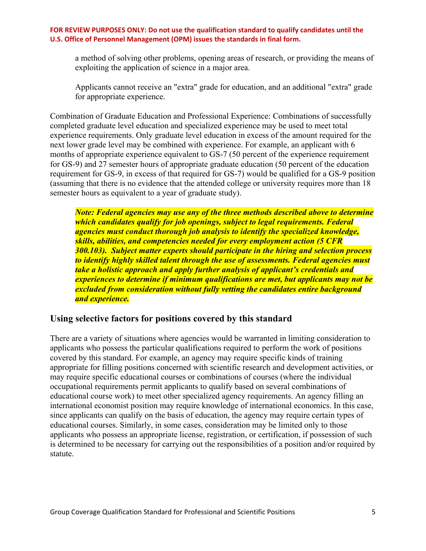a method of solving other problems, opening areas of research, or providing the means of exploiting the application of science in a major area.

Applicants cannot receive an "extra" grade for education, and an additional "extra" grade for appropriate experience.

Combination of Graduate Education and Professional Experience: Combinations of successfully completed graduate level education and specialized experience may be used to meet total experience requirements. Only graduate level education in excess of the amount required for the next lower grade level may be combined with experience. For example, an applicant with 6 months of appropriate experience equivalent to GS-7 (50 percent of the experience requirement for GS-9) and 27 semester hours of appropriate graduate education (50 percent of the education requirement for GS-9, in excess of that required for GS-7) would be qualified for a GS-9 position (assuming that there is no evidence that the attended college or university requires more than 18 semester hours as equivalent to a year of graduate study).

*Note: Federal agencies may use any of the three methods described above to determine which candidates qualify for job openings, subject to legal requirements. Federal agencies must conduct thorough job analysis to identify the specialized knowledge, skills, abilities, and competencies needed for every employment action (5 CFR 300.103). Subject matter experts should participate in the hiring and selection process to identify highly skilled talent through the use of assessments. Federal agencies must take a holistic approach and apply further analysis of applicant's credentials and experiences to determine if minimum qualifications are met, but applicants may not be excluded from consideration without fully vetting the candidates entire background and experience.* 

### **Using selective factors for positions covered by this standard**

There are a variety of situations where agencies would be warranted in limiting consideration to applicants who possess the particular qualifications required to perform the work of positions covered by this standard. For example, an agency may require specific kinds of training appropriate for filling positions concerned with scientific research and development activities, or may require specific educational courses or combinations of courses (where the individual occupational requirements permit applicants to qualify based on several combinations of educational course work) to meet other specialized agency requirements. An agency filling an international economist position may require knowledge of international economics. In this case, since applicants can qualify on the basis of education, the agency may require certain types of educational courses. Similarly, in some cases, consideration may be limited only to those applicants who possess an appropriate license, registration, or certification, if possession of such is determined to be necessary for carrying out the responsibilities of a position and/or required by statute.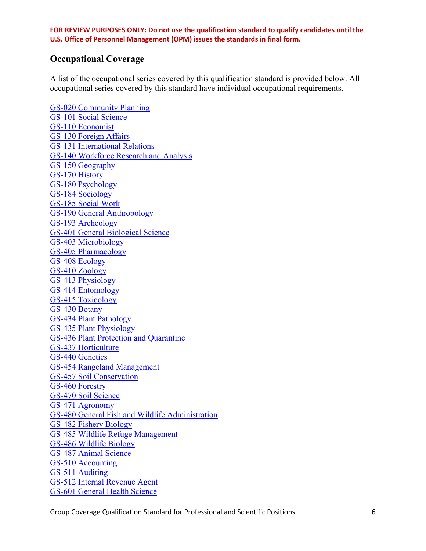### **Occupational Coverage**

A list of the occupational series covered by this qualification standard is provided below. All occupational series covered by this standard have individual occupational requirements.

[GS-020 Community Planning](https://www.opm.gov/policy-data-oversight/classification-qualifications/general-schedule-qualification-standards/0000/community-planning-series-0020/) [GS-101 Social Science](https://www.opm.gov/policy-data-oversight/classification-qualifications/general-schedule-qualification-standards/0100/social-science-series-0101/) [GS-110 Economist](https://www.opm.gov/policy-data-oversight/classification-qualifications/general-schedule-qualification-standards/0100/economist-series-0110/) [GS-130 Foreign Affairs](https://www.opm.gov/policy-data-oversight/classification-qualifications/general-schedule-qualification-standards/0100/foreign-affairs-series-0130/) [GS-131 International Relations](https://www.opm.gov/policy-data-oversight/classification-qualifications/general-schedule-qualification-standards/0100/international-relations-series-0131/) [GS-140 Workforce Research and Analysis](https://www.opm.gov/policy-data-oversight/classification-qualifications/general-schedule-qualification-standards/0100/workforce-research-and-analysis-series-0140/) [GS-150 Geography](https://www.opm.gov/policy-data-oversight/classification-qualifications/general-schedule-qualification-standards/0100/geography-series-0150/) [GS-170 History](https://www.opm.gov/policy-data-oversight/classification-qualifications/general-schedule-qualification-standards/0100/history-series-0170/) [GS-180 Psychology](https://www.opm.gov/policy-data-oversight/classification-qualifications/general-schedule-qualification-standards/0100/psychology-series-0180/) [GS-184 Sociology](https://www.opm.gov/policy-data-oversight/classification-qualifications/general-schedule-qualification-standards/0100/sociology-series-0184/) [GS-185 Social Work](https://www.opm.gov/policy-data-oversight/classification-qualifications/general-schedule-qualification-standards/0100/social-work-series-0185/) [GS-190 General Anthropology](https://www.opm.gov/policy-data-oversight/classification-qualifications/general-schedule-qualification-standards/0100/general-anthropology-series-0190/) [GS-193 Archeology](https://www.opm.gov/policy-data-oversight/classification-qualifications/general-schedule-qualification-standards/0100/archeology-series-0193/) [GS-401 General Biological Science](https://www.opm.gov/policy-data-oversight/classification-qualifications/general-schedule-qualification-standards/0400/general-natural-resources-management-and-biological-sciences-series-0401/) [GS-403 Microbiology](https://www.opm.gov/policy-data-oversight/classification-qualifications/general-schedule-qualification-standards/0400/microbiology-series-0403/) [GS-405 Pharmacology](https://www.opm.gov/policy-data-oversight/classification-qualifications/general-schedule-qualification-standards/0400/pharmacology-series-0405/) [GS-408 Ecology](https://www.opm.gov/policy-data-oversight/classification-qualifications/general-schedule-qualification-standards/0400/ecology-series-0408/) [GS-410 Zoology](https://www.opm.gov/policy-data-oversight/classification-qualifications/general-schedule-qualification-standards/0400/zoology-series-0410/) [GS-413 Physiology](https://www.opm.gov/policy-data-oversight/classification-qualifications/general-schedule-qualification-standards/0400/physiology-series-0413/) [GS-414 Entomology](https://www.opm.gov/policy-data-oversight/classification-qualifications/general-schedule-qualification-standards/0400/entomology-series-0413/) [GS-415 Toxicology](https://www.opm.gov/policy-data-oversight/classification-qualifications/general-schedule-qualification-standards/0400/toxicology-series-0415/) [GS-430 Botany](https://www.opm.gov/policy-data-oversight/classification-qualifications/general-schedule-qualification-standards/0400/botany-series-0430/) [GS-434 Plant Pathology](https://www.opm.gov/policy-data-oversight/classification-qualifications/general-schedule-qualification-standards/0400/plant-pathology-series-0434/) [GS-435 Plant Physiology](https://www.opm.gov/policy-data-oversight/classification-qualifications/general-schedule-qualification-standards/0400/plant-physiology-series-0435/) [GS-436 Plant Protection and Quarantine](https://www.opm.gov/policy-data-oversight/classification-qualifications/general-schedule-qualification-standards/0400/plant-protection-and-quarantine-series-436/) [GS-437 Horticulture](https://www.opm.gov/policy-data-oversight/classification-qualifications/general-schedule-qualification-standards/0400/horticulture-series-0437/) [GS-440 Genetics](https://www.opm.gov/policy-data-oversight/classification-qualifications/general-schedule-qualification-standards/0400/genetics-series-0440/) [GS-454 Rangeland Management](https://www.opm.gov/policy-data-oversight/classification-qualifications/general-schedule-qualification-standards/0400/rangeland-management-series-0454/) [GS-457 Soil Conservation](https://www.opm.gov/policy-data-oversight/classification-qualifications/general-schedule-qualification-standards/0400/soil-conservation-series-0457/) [GS-460 Forestry](https://www.opm.gov/policy-data-oversight/classification-qualifications/general-schedule-qualification-standards/0400/forestry-series-0460/) [GS-470 Soil Science](https://www.opm.gov/policy-data-oversight/classification-qualifications/general-schedule-qualification-standards/0400/soil-science-series-0470/) [GS-471 Agronomy](https://www.opm.gov/policy-data-oversight/classification-qualifications/general-schedule-qualification-standards/0400/agronomy-series-0471/) [GS-480 General Fish and Wildlife Administration](https://www.opm.gov/policy-data-oversight/classification-qualifications/general-schedule-qualification-standards/0400/fish-and-wildlife-administration-series-0480/) [GS-482 Fishery Biology](https://www.opm.gov/policy-data-oversight/classification-qualifications/general-schedule-qualification-standards/0400/fish-biology-series-0482/) [GS-485 Wildlife Refuge Management](https://www.opm.gov/policy-data-oversight/classification-qualifications/general-schedule-qualification-standards/0400/wildlife-refuge-management-series-0485/) [GS-486 Wildlife Biology](https://www.opm.gov/policy-data-oversight/classification-qualifications/general-schedule-qualification-standards/0400/wildlife-biology-series-0486/) [GS-487 Animal Science](https://www.opm.gov/policy-data-oversight/classification-qualifications/general-schedule-qualification-standards/0400/animal-science-series-0487/) [GS-510 Accounting](https://www.opm.gov/policy-data-oversight/classification-qualifications/general-schedule-qualification-standards/0500/accounting-series-0510/) [GS-511 Auditing](https://www.opm.gov/policy-data-oversight/classification-qualifications/general-schedule-qualification-standards/0500/auditing-series-0511/) [GS-512 Internal Revenue Agent](https://www.opm.gov/policy-data-oversight/classification-qualifications/general-schedule-qualification-standards/0500/internal-revenue-agent-series-0512/) [GS-601 General Health Science](https://www.opm.gov/policy-data-oversight/classification-qualifications/general-schedule-qualification-standards/0600/general-health-science-series-0601/)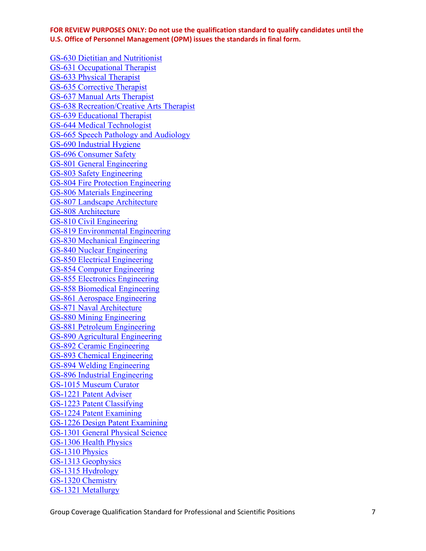[GS-630 Dietitian and Nutritionist](https://www.opm.gov/policy-data-oversight/classification-qualifications/general-schedule-qualification-standards/0600/dietition-and-nutritionist-series-0630/) [GS-631 Occupational Therapist](https://www.opm.gov/policy-data-oversight/classification-qualifications/general-schedule-qualification-standards/0600/occupational-therapist-series-0631/) [GS-633 Physical Therapist](https://www.opm.gov/policy-data-oversight/classification-qualifications/general-schedule-qualification-standards/0600/physical-therapist-series-0633/) [GS-635 Corrective Therapist](https://www.opm.gov/policy-data-oversight/classification-qualifications/general-schedule-qualification-standards/0600/kinesiotherapy-series-0635/) [GS-637 Manual Arts Therapist](https://www.opm.gov/policy-data-oversight/classification-qualifications/general-schedule-qualification-standards/0600/manual-arts-therapist-series-0637/) [GS-638 Recreation/Creative Arts Therapist](https://www.opm.gov/policy-data-oversight/classification-qualifications/general-schedule-qualification-standards/0600/recreationcreative-arts-therapist-series-0638/) [GS-639 Educational Therapist](https://www.opm.gov/policy-data-oversight/classification-qualifications/general-schedule-qualification-standards/0600/educational-therapist-series-0639/) [GS-644 Medical Technologist](https://www.opm.gov/policy-data-oversight/classification-qualifications/general-schedule-qualification-standards/0600/medical-technologist-series-0644/) [GS-665 Speech Pathology and Audiology](https://www.opm.gov/policy-data-oversight/classification-qualifications/general-schedule-qualification-standards/0600/speech-pathology-and-audiology-series-0665/) [GS-690 Industrial Hygiene](https://www.opm.gov/policy-data-oversight/classification-qualifications/general-schedule-qualification-standards/0600/industrial-hygiene-series-0690/) [GS-696 Consumer Safety](https://www.opm.gov/policy-data-oversight/classification-qualifications/general-schedule-qualification-standards/0600/consumer-safety-series-0696/) [GS-801 General Engineering](https://www.opm.gov/policy-data-oversight/classification-qualifications/general-schedule-qualification-standards/0800/general-engineering-series-0801/) [GS-803 Safety Engineering](https://www.opm.gov/policy-data-oversight/classification-qualifications/general-schedule-qualification-standards/0800/safety-engineering-series-0803/) [GS-804 Fire Protection Engineering](https://www.opm.gov/policy-data-oversight/classification-qualifications/general-schedule-qualification-standards/0800/fire-protection-engineering-series-0804/) [GS-806 Materials Engineering](https://www.opm.gov/policy-data-oversight/classification-qualifications/general-schedule-qualification-standards/0800/materials-engineering-series-0806/) [GS-807 Landscape Architecture](https://www.opm.gov/policy-data-oversight/classification-qualifications/general-schedule-qualification-standards/0800/landscape-architecture-series-0807/) [GS-808 Architecture](https://www.opm.gov/policy-data-oversight/classification-qualifications/general-schedule-qualification-standards/0800/architecture-series-0808/) [GS-810 Civil Engineering](https://www.opm.gov/policy-data-oversight/classification-qualifications/general-schedule-qualification-standards/0800/civil-engineering-series-0810/) [GS-819 Environmental Engineering](https://www.opm.gov/policy-data-oversight/classification-qualifications/general-schedule-qualification-standards/0800/environmental-engineering-series-0819/) [GS-830 Mechanical Engineering](https://www.opm.gov/policy-data-oversight/classification-qualifications/general-schedule-qualification-standards/0800/mechanical-engineering-series-0830/) [GS-840 Nuclear Engineering](https://www.opm.gov/policy-data-oversight/classification-qualifications/general-schedule-qualification-standards/0800/nuclear-engineering-series-0840/) [GS-850 Electrical Engineering](https://www.opm.gov/policy-data-oversight/classification-qualifications/general-schedule-qualification-standards/0800/electrical-engineering-series-0850/) [GS-854 Computer Engineering](https://www.opm.gov/policy-data-oversight/classification-qualifications/general-schedule-qualification-standards/0800/computer-engineering-series-0854/) [GS-855 Electronics Engineering](https://www.opm.gov/policy-data-oversight/classification-qualifications/general-schedule-qualification-standards/0800/electronics-engineering-series-0855/) [GS-858 Biomedical Engineering](https://www.opm.gov/policy-data-oversight/classification-qualifications/general-schedule-qualification-standards/0800/bioengineering-and-biomedical-engineering-series-0858/) [GS-861 Aerospace Engineering](https://www.opm.gov/policy-data-oversight/classification-qualifications/general-schedule-qualification-standards/0800/aerospace-engineering-series-0861/) [GS-871 Naval Architecture](https://www.opm.gov/policy-data-oversight/classification-qualifications/general-schedule-qualification-standards/0800/naval-architecture-series-0871/) [GS-880 Mining Engineering](https://www.opm.gov/policy-data-oversight/classification-qualifications/general-schedule-qualification-standards/0800/mining-engineering-series-0880/) [GS-881 Petroleum Engineering](https://www.opm.gov/policy-data-oversight/classification-qualifications/general-schedule-qualification-standards/0800/petroleum-engineering-series-0881/) [GS-890 Agricultural Engineering](https://www.opm.gov/policy-data-oversight/classification-qualifications/general-schedule-qualification-standards/0800/agricultural-engineering-series-0890/) [GS-892 Ceramic Engineering](https://www.opm.gov/policy-data-oversight/classification-qualifications/general-schedule-qualification-standards/0800/ceramic-engineering-series-0892/) [GS-893 Chemical Engineering](https://www.opm.gov/policy-data-oversight/classification-qualifications/general-schedule-qualification-standards/0800/chemical-engineering-series-0893/) [GS-894 Welding Engineering](https://www.opm.gov/policy-data-oversight/classification-qualifications/general-schedule-qualification-standards/0800/welding-engineering-series-0894/) [GS-896 Industrial Engineering](https://www.opm.gov/policy-data-oversight/classification-qualifications/general-schedule-qualification-standards/0800/industrial-engineering-series-0896/) [GS-1015 Museum Curator](https://www.opm.gov/policy-data-oversight/classification-qualifications/general-schedule-qualification-standards/1000/museum-curator-series-1015/) [GS-1221 Patent Adviser](https://www.opm.gov/policy-data-oversight/classification-qualifications/general-schedule-qualification-standards/1200/patent-adviser-series-1221/) [GS-1223 Patent Classifying](https://www.opm.gov/policy-data-oversight/classification-qualifications/general-schedule-qualification-standards/1200/patent-classifying-series-1223/) [GS-1224 Patent Examining](https://www.opm.gov/policy-data-oversight/classification-qualifications/general-schedule-qualification-standards/1200/patent-examining-series-1224/) [GS-1226 Design Patent Examining](https://www.opm.gov/policy-data-oversight/classification-qualifications/general-schedule-qualification-standards/1200/design-patent-examining-series-1226/) [GS-1301 General Physical Science](https://www.opm.gov/policy-data-oversight/classification-qualifications/general-schedule-qualification-standards/1300/general-physical-science-series-1301/) [GS-1306 Health Physics](https://www.opm.gov/policy-data-oversight/classification-qualifications/general-schedule-qualification-standards/1300/health-physics-series-1306/) [GS-1310 Physics](https://www.opm.gov/policy-data-oversight/classification-qualifications/general-schedule-qualification-standards/1300/physics-series-1310/) [GS-1313 Geophysics](https://www.opm.gov/policy-data-oversight/classification-qualifications/general-schedule-qualification-standards/1300/geophysics-series-1313/) [GS-1315 Hydrology](https://www.opm.gov/policy-data-oversight/classification-qualifications/general-schedule-qualification-standards/1300/hydrology-series-1315/) [GS-1320 Chemistry](https://www.opm.gov/policy-data-oversight/classification-qualifications/general-schedule-qualification-standards/1300/chemistry-series-1320/) [GS-1321 Metallurgy](https://www.opm.gov/policy-data-oversight/classification-qualifications/general-schedule-qualification-standards/1300/metallurgy-series-1321/)